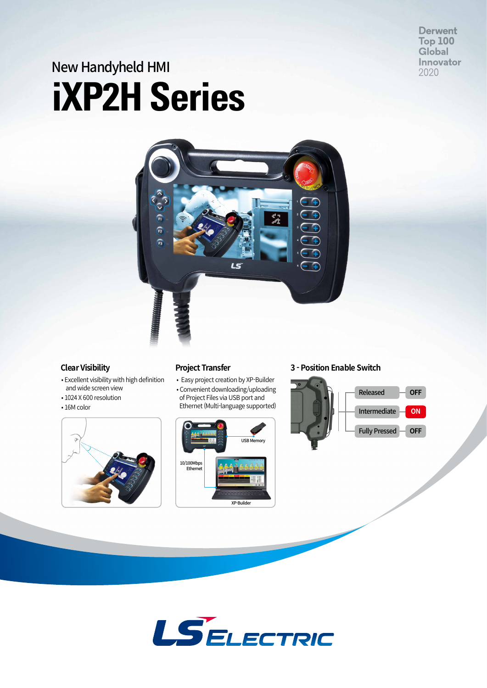**Derwent Top 100** Global Innovator 2020

# **iXP2H Series** New Handyheld HMI



## **Clear Visibility**

- Excellent visibility with high definition and wide screen view
- 1024 X 600 resolution
- 16M color



# **Project Transfer**

• Easy project creation by XP-Builder • Convenient downloading/uploading of Project Files via USB port and Ethernet (Multi-language supported)



## **3 - Position Enable Switch**